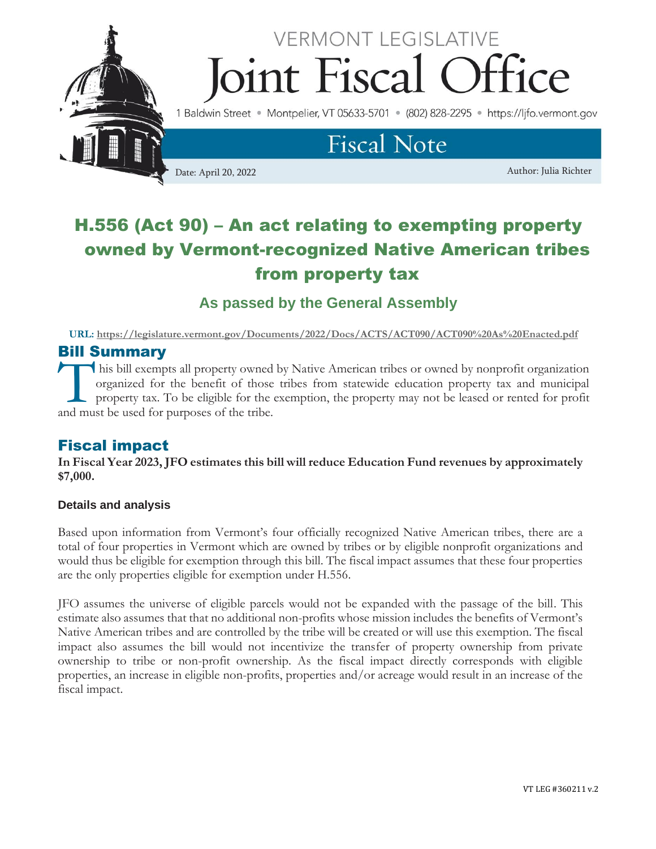

# H.556 (Act 90) – An act relating to exempting property owned by Vermont-recognized Native American tribes from property tax

**As passed by the General Assembly**

**URL:<https://legislature.vermont.gov/Documents/2022/Docs/ACTS/ACT090/ACT090%20As%20Enacted.pdf>**

## Bill Summary

his bill exempts all property owned by Native American tribes or owned by nonprofit organization organized for the benefit of those tribes from statewide education property tax and municipal property tax. To be eligible for the exemption, the property may not be leased or rented for profit This bill exempts all property owned<br>organized for the benefit of those<br>property tax. To be eligible for the c<br>and must be used for purposes of the tribe.

### Fiscal impact

**In Fiscal Year 2023, JFO estimates this bill will reduce Education Fund revenues by approximately \$7,000.**

#### **Details and analysis**

Based upon information from Vermont's four officially recognized Native American tribes, there are a total of four properties in Vermont which are owned by tribes or by eligible nonprofit organizations and would thus be eligible for exemption through this bill. The fiscal impact assumes that these four properties are the only properties eligible for exemption under H.556.

JFO assumes the universe of eligible parcels would not be expanded with the passage of the bill. This estimate also assumes that that no additional non-profits whose mission includes the benefits of Vermont's Native American tribes and are controlled by the tribe will be created or will use this exemption. The fiscal impact also assumes the bill would not incentivize the transfer of property ownership from private ownership to tribe or non-profit ownership. As the fiscal impact directly corresponds with eligible properties, an increase in eligible non-profits, properties and/or acreage would result in an increase of the fiscal impact.